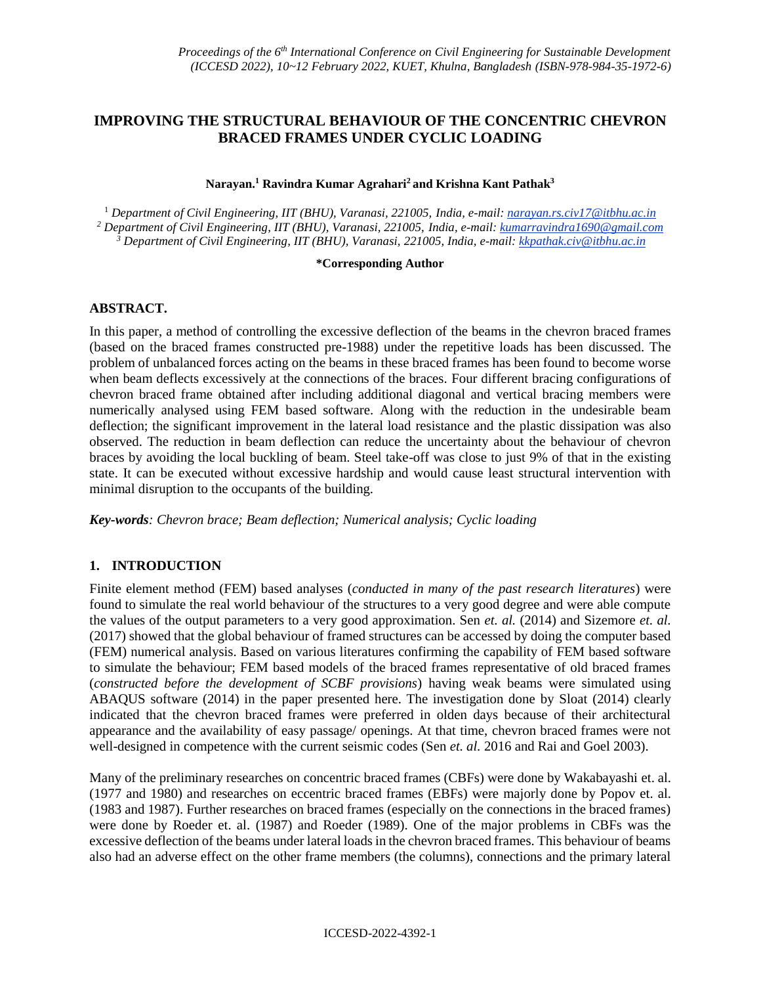# **IMPROVING THE STRUCTURAL BEHAVIOUR OF THE CONCENTRIC CHEVRON BRACED FRAMES UNDER CYCLIC LOADING**

#### **Narayan.<sup>1</sup> Ravindra Kumar Agrahari<sup>2</sup> and Krishna Kant Pathak<sup>3</sup>**

<sup>1</sup> *Department of Civil Engineering, IIT (BHU), Varanasi, 221005, India, e-mail: narayan.rs.civ17@itbhu.ac.in <sup>2</sup> Department of Civil Engineering, IIT (BHU), Varanasi, 221005, India, e-mail: kumarravindra1690@gmail.com <sup>3</sup> Department of Civil Engineering, IIT (BHU), Varanasi, 221005, India, e-mail: kkpathak.civ@itbhu.ac.in*

#### **\*Corresponding Author**

### **ABSTRACT.**

In this paper, a method of controlling the excessive deflection of the beams in the chevron braced frames (based on the braced frames constructed pre-1988) under the repetitive loads has been discussed. The problem of unbalanced forces acting on the beams in these braced frames has been found to become worse when beam deflects excessively at the connections of the braces. Four different bracing configurations of chevron braced frame obtained after including additional diagonal and vertical bracing members were numerically analysed using FEM based software. Along with the reduction in the undesirable beam deflection; the significant improvement in the lateral load resistance and the plastic dissipation was also observed. The reduction in beam deflection can reduce the uncertainty about the behaviour of chevron braces by avoiding the local buckling of beam. Steel take-off was close to just 9% of that in the existing state. It can be executed without excessive hardship and would cause least structural intervention with minimal disruption to the occupants of the building.

*Key-words: Chevron brace; Beam deflection; Numerical analysis; Cyclic loading*

### **1. INTRODUCTION**

Finite element method (FEM) based analyses (*conducted in many of the past research literatures*) were found to simulate the real world behaviour of the structures to a very good degree and were able compute the values of the output parameters to a very good approximation. Sen *et. al.* (2014) and Sizemore *et. al.* (2017) showed that the global behaviour of framed structures can be accessed by doing the computer based (FEM) numerical analysis. Based on various literatures confirming the capability of FEM based software to simulate the behaviour; FEM based models of the braced frames representative of old braced frames (*constructed before the development of SCBF provisions*) having weak beams were simulated using ABAQUS software (2014) in the paper presented here. The investigation done by Sloat (2014) clearly indicated that the chevron braced frames were preferred in olden days because of their architectural appearance and the availability of easy passage/ openings. At that time, chevron braced frames were not well-designed in competence with the current seismic codes (Sen *et. al.* 2016 and Rai and Goel 2003).

Many of the preliminary researches on concentric braced frames (CBFs) were done by Wakabayashi et. al. (1977 and 1980) and researches on eccentric braced frames (EBFs) were majorly done by Popov et. al. (1983 and 1987). Further researches on braced frames (especially on the connections in the braced frames) were done by Roeder et. al. (1987) and Roeder (1989). One of the major problems in CBFs was the excessive deflection of the beams under lateral loads in the chevron braced frames. This behaviour of beams also had an adverse effect on the other frame members (the columns), connections and the primary lateral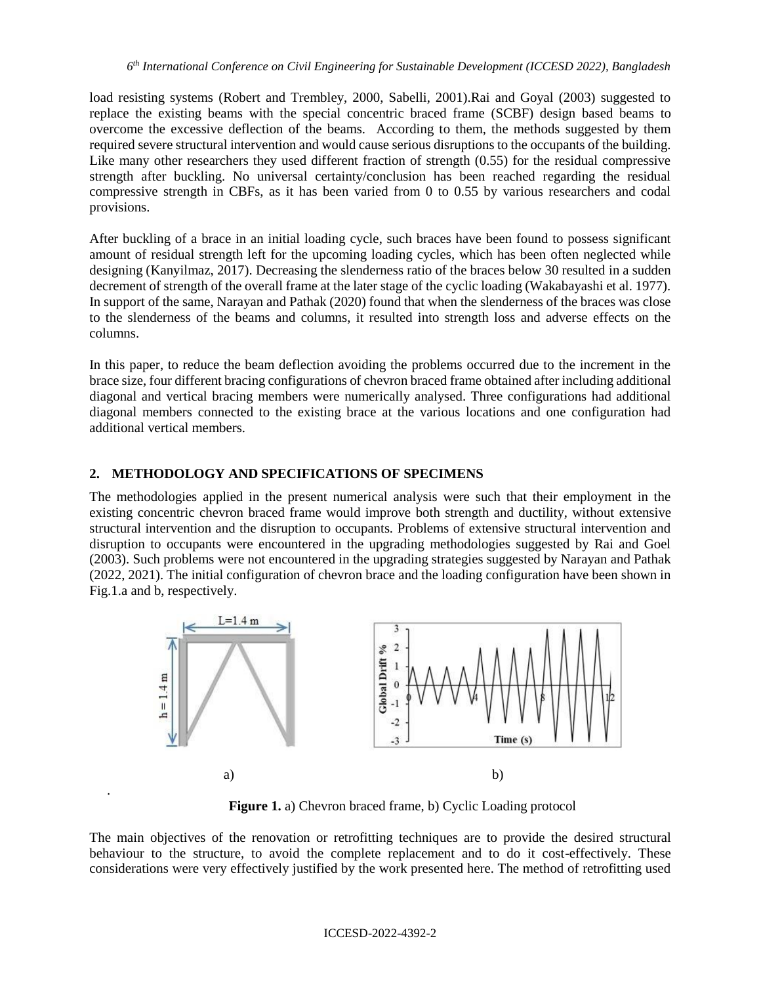load resisting systems (Robert and Trembley, 2000, Sabelli, 2001).Rai and Goyal (2003) suggested to replace the existing beams with the special concentric braced frame (SCBF) design based beams to overcome the excessive deflection of the beams. According to them, the methods suggested by them required severe structural intervention and would cause serious disruptions to the occupants of the building. Like many other researchers they used different fraction of strength (0.55) for the residual compressive strength after buckling. No universal certainty/conclusion has been reached regarding the residual compressive strength in CBFs, as it has been varied from 0 to 0.55 by various researchers and codal provisions.

After buckling of a brace in an initial loading cycle, such braces have been found to possess significant amount of residual strength left for the upcoming loading cycles, which has been often neglected while designing (Kanyilmaz, 2017). Decreasing the slenderness ratio of the braces below 30 resulted in a sudden decrement of strength of the overall frame at the later stage of the cyclic loading (Wakabayashi et al. 1977). In support of the same, Narayan and Pathak (2020) found that when the slenderness of the braces was close to the slenderness of the beams and columns, it resulted into strength loss and adverse effects on the columns.

In this paper, to reduce the beam deflection avoiding the problems occurred due to the increment in the brace size, four different bracing configurations of chevron braced frame obtained after including additional diagonal and vertical bracing members were numerically analysed. Three configurations had additional diagonal members connected to the existing brace at the various locations and one configuration had additional vertical members.

### **2. METHODOLOGY AND SPECIFICATIONS OF SPECIMENS**

.

The methodologies applied in the present numerical analysis were such that their employment in the existing concentric chevron braced frame would improve both strength and ductility, without extensive structural intervention and the disruption to occupants. Problems of extensive structural intervention and disruption to occupants were encountered in the upgrading methodologies suggested by Rai and Goel (2003). Such problems were not encountered in the upgrading strategies suggested by Narayan and Pathak (2022, 2021). The initial configuration of chevron brace and the loading configuration have been shown in Fig.1.a and b, respectively.



**Figure 1.** a) Chevron braced frame, b) Cyclic Loading protocol

The main objectives of the renovation or retrofitting techniques are to provide the desired structural behaviour to the structure, to avoid the complete replacement and to do it cost-effectively. These considerations were very effectively justified by the work presented here. The method of retrofitting used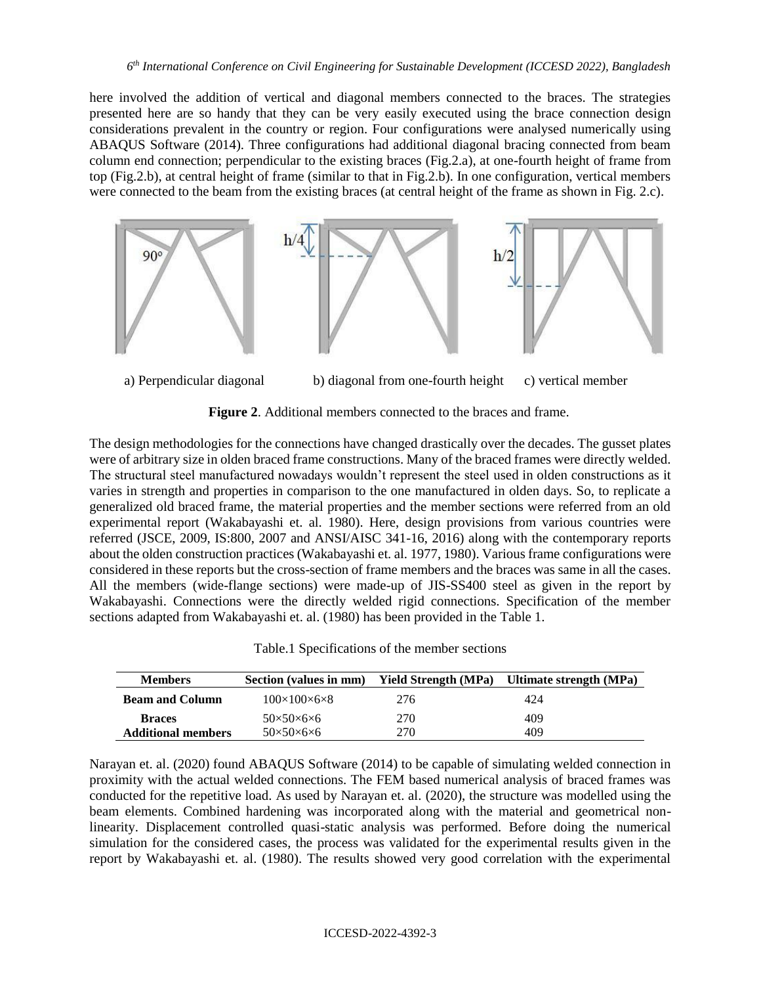here involved the addition of vertical and diagonal members connected to the braces. The strategies presented here are so handy that they can be very easily executed using the brace connection design considerations prevalent in the country or region. Four configurations were analysed numerically using ABAQUS Software (2014). Three configurations had additional diagonal bracing connected from beam column end connection; perpendicular to the existing braces (Fig.2.a), at one-fourth height of frame from top (Fig.2.b), at central height of frame (similar to that in Fig.2.b). In one configuration, vertical members were connected to the beam from the existing braces (at central height of the frame as shown in Fig. 2.c).



a) Perpendicular diagonal b) diagonal from one-fourth height c) vertical member

**Figure 2**. Additional members connected to the braces and frame.

The design methodologies for the connections have changed drastically over the decades. The gusset plates were of arbitrary size in olden braced frame constructions. Many of the braced frames were directly welded. The structural steel manufactured nowadays wouldn't represent the steel used in olden constructions as it varies in strength and properties in comparison to the one manufactured in olden days. So, to replicate a generalized old braced frame, the material properties and the member sections were referred from an old experimental report (Wakabayashi et. al. 1980). Here, design provisions from various countries were referred (JSCE, 2009, IS:800, 2007 and ANSI/AISC 341-16, 2016) along with the contemporary reports about the olden construction practices (Wakabayashi et. al. 1977, 1980). Various frame configurations were considered in these reports but the cross-section of frame members and the braces was same in all the cases. All the members (wide-flange sections) were made-up of JIS-SS400 steel as given in the report by Wakabayashi. Connections were the directly welded rigid connections. Specification of the member sections adapted from Wakabayashi et. al. (1980) has been provided in the Table 1.

| <b>Members</b>            | Section (values in mm)       | Yield Strength (MPa) | Ultimate strength (MPa) |  |  |
|---------------------------|------------------------------|----------------------|-------------------------|--|--|
| <b>Beam and Column</b>    | $100\times100\times6\times8$ | 276                  | 424                     |  |  |
| <b>Braces</b>             | $50\times50\times6\times6$   | 270                  | 409                     |  |  |
| <b>Additional members</b> | $50\times50\times6\times6$   | 270                  | 409                     |  |  |

Narayan et. al. (2020) found ABAQUS Software (2014) to be capable of simulating welded connection in proximity with the actual welded connections. The FEM based numerical analysis of braced frames was conducted for the repetitive load. As used by Narayan et. al. (2020), the structure was modelled using the beam elements. Combined hardening was incorporated along with the material and geometrical nonlinearity. Displacement controlled quasi-static analysis was performed. Before doing the numerical simulation for the considered cases, the process was validated for the experimental results given in the report by Wakabayashi et. al. (1980). The results showed very good correlation with the experimental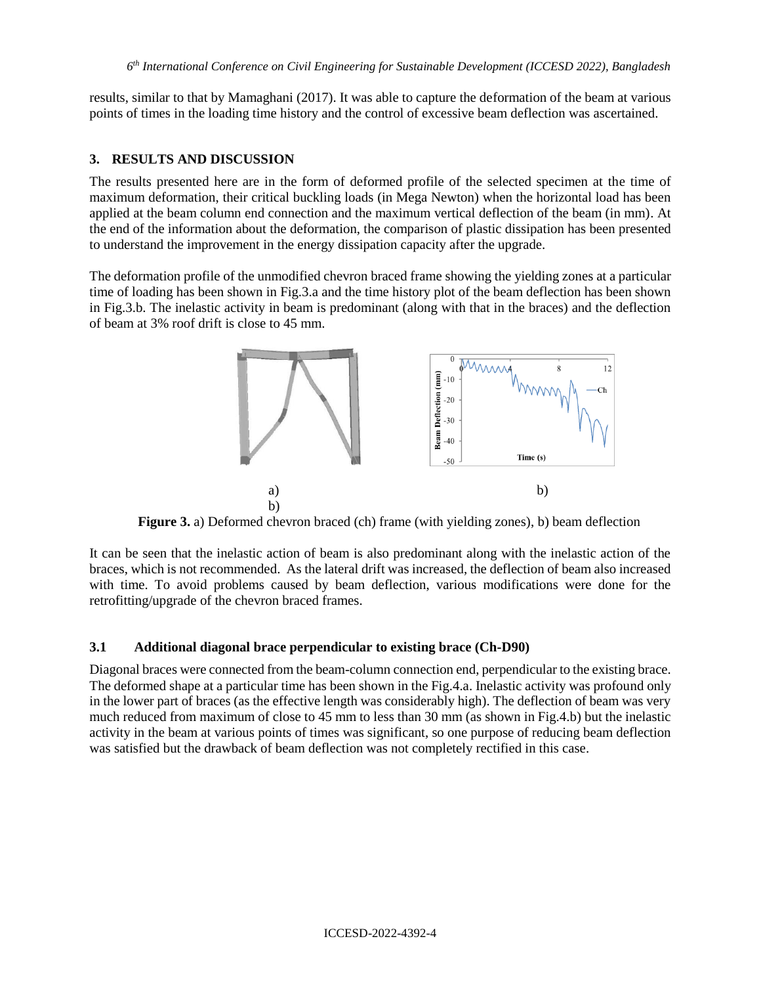results, similar to that by Mamaghani (2017). It was able to capture the deformation of the beam at various points of times in the loading time history and the control of excessive beam deflection was ascertained.

### **3. RESULTS AND DISCUSSION**

The results presented here are in the form of deformed profile of the selected specimen at the time of maximum deformation, their critical buckling loads (in Mega Newton) when the horizontal load has been applied at the beam column end connection and the maximum vertical deflection of the beam (in mm). At the end of the information about the deformation, the comparison of plastic dissipation has been presented to understand the improvement in the energy dissipation capacity after the upgrade.

The deformation profile of the unmodified chevron braced frame showing the yielding zones at a particular time of loading has been shown in Fig.3.a and the time history plot of the beam deflection has been shown in Fig.3.b. The inelastic activity in beam is predominant (along with that in the braces) and the deflection of beam at 3% roof drift is close to 45 mm.



**Figure 3.** a) Deformed chevron braced (ch) frame (with yielding zones), b) beam deflection

It can be seen that the inelastic action of beam is also predominant along with the inelastic action of the braces, which is not recommended. As the lateral drift was increased, the deflection of beam also increased with time. To avoid problems caused by beam deflection, various modifications were done for the retrofitting/upgrade of the chevron braced frames.

### **3.1 Additional diagonal brace perpendicular to existing brace (Ch-D90)**

Diagonal braces were connected from the beam-column connection end, perpendicular to the existing brace. The deformed shape at a particular time has been shown in the Fig.4.a. Inelastic activity was profound only in the lower part of braces (as the effective length was considerably high). The deflection of beam was very much reduced from maximum of close to 45 mm to less than 30 mm (as shown in Fig.4.b) but the inelastic activity in the beam at various points of times was significant, so one purpose of reducing beam deflection was satisfied but the drawback of beam deflection was not completely rectified in this case.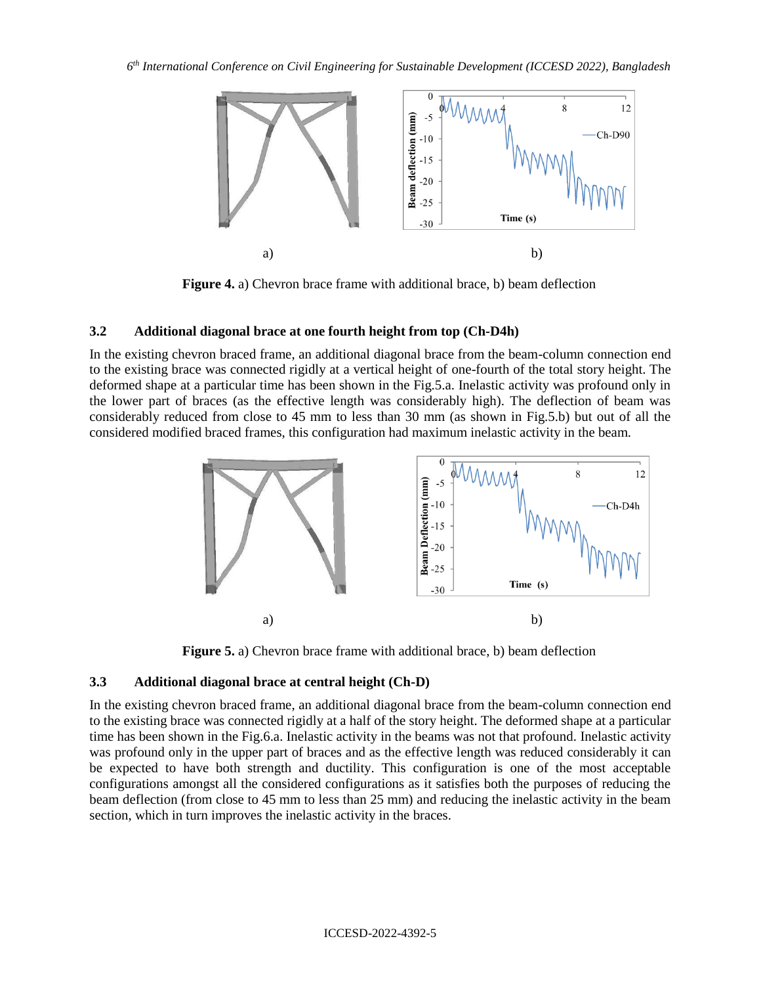

**Figure 4.** a) Chevron brace frame with additional brace, b) beam deflection

# **3.2 Additional diagonal brace at one fourth height from top (Ch-D4h)**

In the existing chevron braced frame, an additional diagonal brace from the beam-column connection end to the existing brace was connected rigidly at a vertical height of one-fourth of the total story height. The deformed shape at a particular time has been shown in the Fig.5.a. Inelastic activity was profound only in the lower part of braces (as the effective length was considerably high). The deflection of beam was considerably reduced from close to 45 mm to less than 30 mm (as shown in Fig.5.b) but out of all the considered modified braced frames, this configuration had maximum inelastic activity in the beam.



**Figure 5.** a) Chevron brace frame with additional brace, b) beam deflection

# **3.3 Additional diagonal brace at central height (Ch-D)**

In the existing chevron braced frame, an additional diagonal brace from the beam-column connection end to the existing brace was connected rigidly at a half of the story height. The deformed shape at a particular time has been shown in the Fig.6.a. Inelastic activity in the beams was not that profound. Inelastic activity was profound only in the upper part of braces and as the effective length was reduced considerably it can be expected to have both strength and ductility. This configuration is one of the most acceptable configurations amongst all the considered configurations as it satisfies both the purposes of reducing the beam deflection (from close to 45 mm to less than 25 mm) and reducing the inelastic activity in the beam section, which in turn improves the inelastic activity in the braces.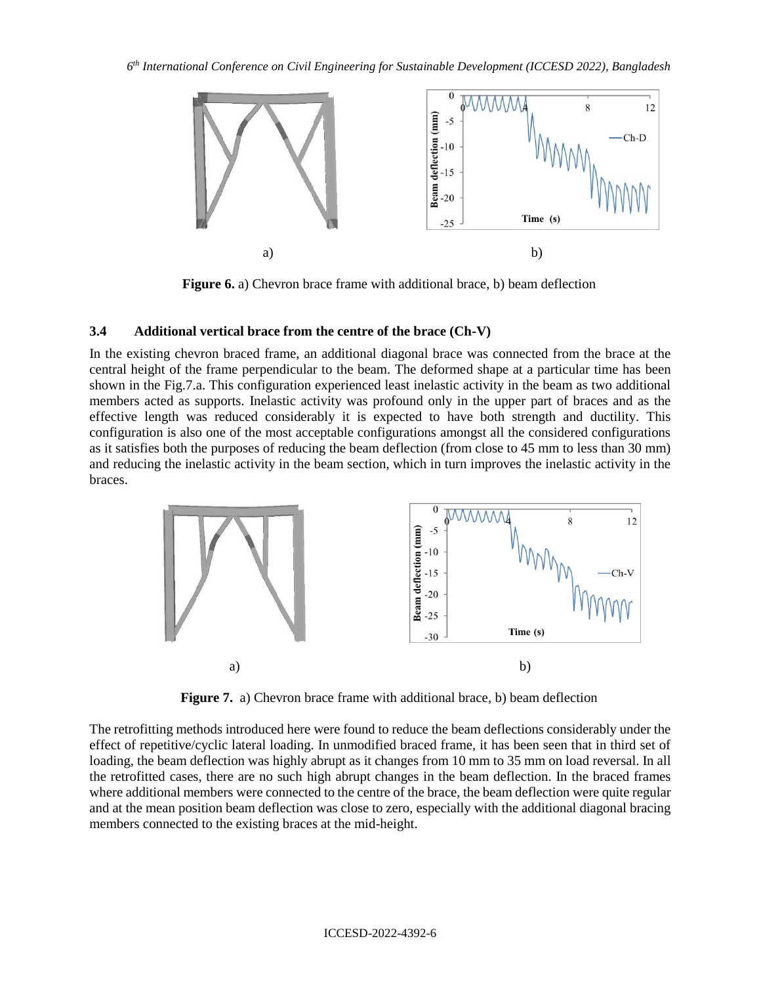

**Figure 6.** a) Chevron brace frame with additional brace, b) beam deflection

# **3.4 Additional vertical brace from the centre of the brace (Ch-V)**

In the existing chevron braced frame, an additional diagonal brace was connected from the brace at the central height of the frame perpendicular to the beam. The deformed shape at a particular time has been shown in the Fig.7.a. This configuration experienced least inelastic activity in the beam as two additional members acted as supports. Inelastic activity was profound only in the upper part of braces and as the effective length was reduced considerably it is expected to have both strength and ductility. This configuration is also one of the most acceptable configurations amongst all the considered configurations as it satisfies both the purposes of reducing the beam deflection (from close to 45 mm to less than 30 mm) and reducing the inelastic activity in the beam section, which in turn improves the inelastic activity in the braces.



**Figure 7.** a) Chevron brace frame with additional brace, b) beam deflection

The retrofitting methods introduced here were found to reduce the beam deflections considerably under the effect of repetitive/cyclic lateral loading. In unmodified braced frame, it has been seen that in third set of loading, the beam deflection was highly abrupt as it changes from 10 mm to 35 mm on load reversal. In all the retrofitted cases, there are no such high abrupt changes in the beam deflection. In the braced frames where additional members were connected to the centre of the brace, the beam deflection were quite regular and at the mean position beam deflection was close to zero, especially with the additional diagonal bracing members connected to the existing braces at the mid-height.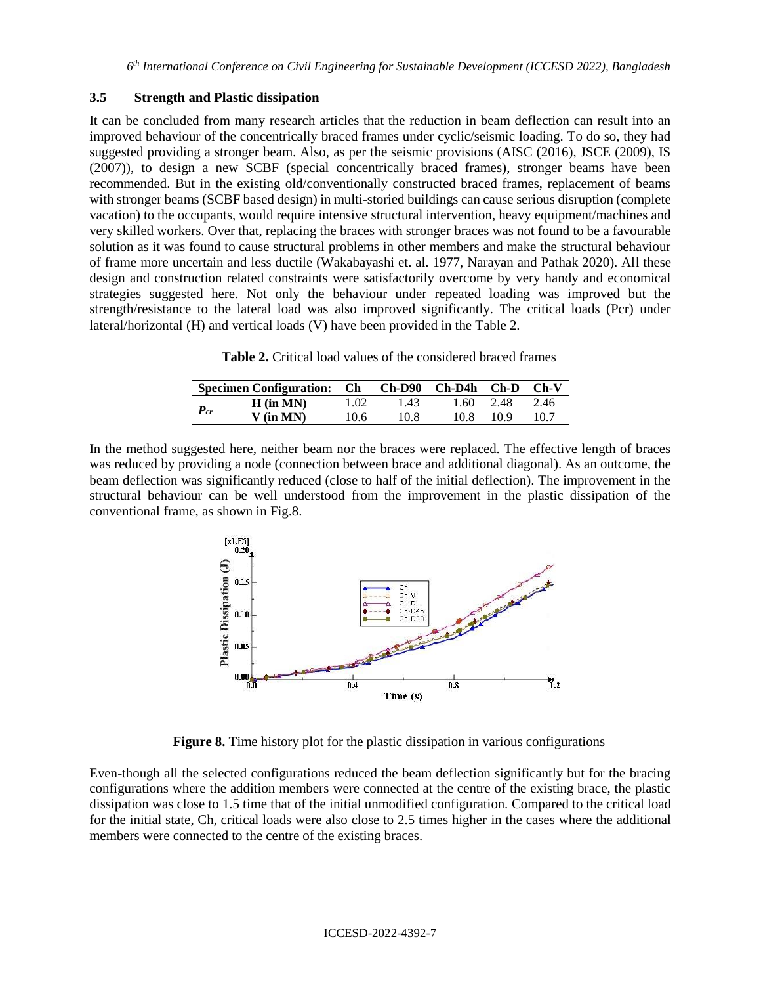### **3.5 Strength and Plastic dissipation**

It can be concluded from many research articles that the reduction in beam deflection can result into an improved behaviour of the concentrically braced frames under cyclic/seismic loading. To do so, they had suggested providing a stronger beam. Also, as per the seismic provisions (AISC (2016), JSCE (2009), IS (2007)), to design a new SCBF (special concentrically braced frames), stronger beams have been recommended. But in the existing old/conventionally constructed braced frames, replacement of beams with stronger beams (SCBF based design) in multi-storied buildings can cause serious disruption (complete vacation) to the occupants, would require intensive structural intervention, heavy equipment/machines and very skilled workers. Over that, replacing the braces with stronger braces was not found to be a favourable solution as it was found to cause structural problems in other members and make the structural behaviour of frame more uncertain and less ductile (Wakabayashi et. al. 1977, Narayan and Pathak 2020). All these design and construction related constraints were satisfactorily overcome by very handy and economical strategies suggested here. Not only the behaviour under repeated loading was improved but the strength/resistance to the lateral load was also improved significantly. The critical loads (Pcr) under lateral/horizontal (H) and vertical loads (V) have been provided in the Table 2.

| <b>Table 2.</b> Critical load values of the considered braced frames |
|----------------------------------------------------------------------|
|----------------------------------------------------------------------|

| Specimen Configuration: Ch |             |      |      | $Ch-D90$ $Ch-D4h$ $Ch-D$ |      | $Ch-V$ |
|----------------------------|-------------|------|------|--------------------------|------|--------|
| $P_{cr}$                   | $H$ (in MN) | 1.02 | 1.43 | 1.60                     | 2.48 | 2.46   |
|                            | $V$ (in MN) | 10.6 | 10.8 | 10.8                     | 10 9 | 10.7   |

In the method suggested here, neither beam nor the braces were replaced. The effective length of braces was reduced by providing a node (connection between brace and additional diagonal). As an outcome, the beam deflection was significantly reduced (close to half of the initial deflection). The improvement in the structural behaviour can be well understood from the improvement in the plastic dissipation of the conventional frame, as shown in Fig.8.



**Figure 8.** Time history plot for the plastic dissipation in various configurations

Even-though all the selected configurations reduced the beam deflection significantly but for the bracing configurations where the addition members were connected at the centre of the existing brace, the plastic dissipation was close to 1.5 time that of the initial unmodified configuration. Compared to the critical load for the initial state, Ch, critical loads were also close to 2.5 times higher in the cases where the additional members were connected to the centre of the existing braces.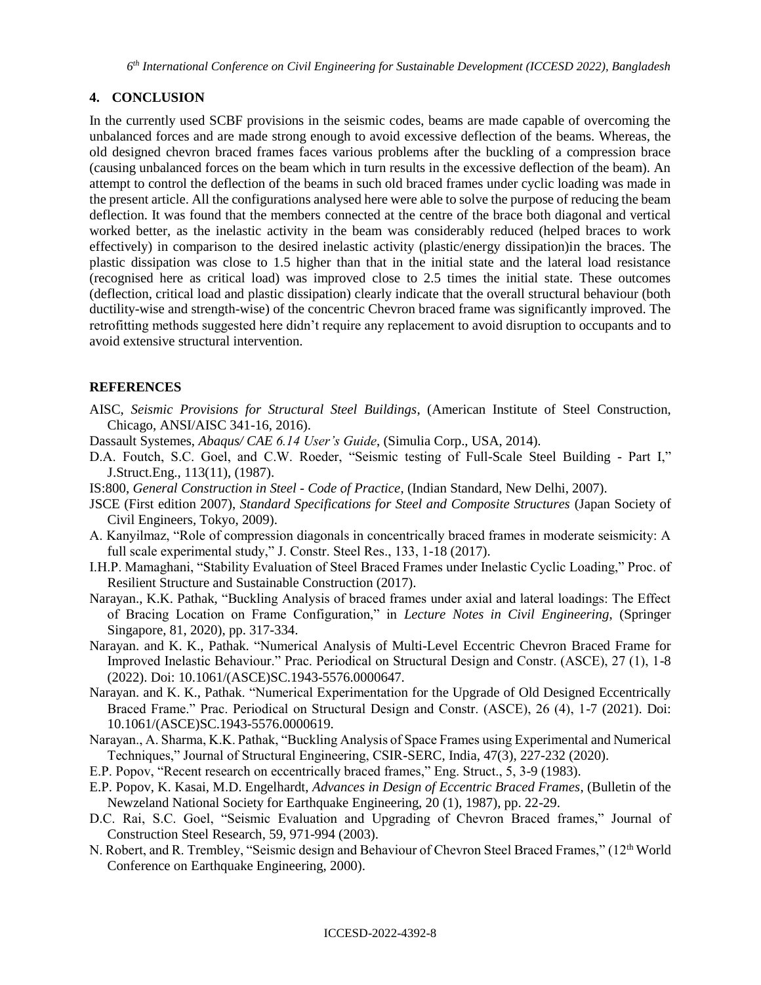# **4. CONCLUSION**

In the currently used SCBF provisions in the seismic codes, beams are made capable of overcoming the unbalanced forces and are made strong enough to avoid excessive deflection of the beams. Whereas, the old designed chevron braced frames faces various problems after the buckling of a compression brace (causing unbalanced forces on the beam which in turn results in the excessive deflection of the beam). An attempt to control the deflection of the beams in such old braced frames under cyclic loading was made in the present article. All the configurations analysed here were able to solve the purpose of reducing the beam deflection. It was found that the members connected at the centre of the brace both diagonal and vertical worked better, as the inelastic activity in the beam was considerably reduced (helped braces to work effectively) in comparison to the desired inelastic activity (plastic/energy dissipation)in the braces. The plastic dissipation was close to 1.5 higher than that in the initial state and the lateral load resistance (recognised here as critical load) was improved close to 2.5 times the initial state. These outcomes (deflection, critical load and plastic dissipation) clearly indicate that the overall structural behaviour (both ductility-wise and strength-wise) of the concentric Chevron braced frame was significantly improved. The retrofitting methods suggested here didn't require any replacement to avoid disruption to occupants and to avoid extensive structural intervention.

# **REFERENCES**

- AISC, *Seismic Provisions for Structural Steel Buildings*, (American Institute of Steel Construction, Chicago, ANSI/AISC 341-16, 2016).
- Dassault Systemes, *Abaqus/ CAE 6.14 User's Guide*, (Simulia Corp., USA, 2014).
- D.A. Foutch, S.C. Goel, and C.W. Roeder, "Seismic testing of Full-Scale Steel Building Part I," J.Struct.Eng., 113(11), (1987).
- IS:800, *General Construction in Steel - Code of Practice*, (Indian Standard, New Delhi, 2007).
- JSCE (First edition 2007), *Standard Specifications for Steel and Composite Structures* (Japan Society of Civil Engineers, Tokyo, 2009).
- A. Kanyilmaz, "Role of compression diagonals in concentrically braced frames in moderate seismicity: A full scale experimental study," J. Constr. Steel Res., 133, 1-18 (2017).
- I.H.P. Mamaghani, "Stability Evaluation of Steel Braced Frames under Inelastic Cyclic Loading," Proc. of Resilient Structure and Sustainable Construction (2017).
- Narayan., K.K. Pathak, "Buckling Analysis of braced frames under axial and lateral loadings: The Effect of Bracing Location on Frame Configuration," in *Lecture Notes in Civil Engineering*, (Springer Singapore, 81, 2020), pp. 317-334.
- Narayan. and K. K., Pathak. "Numerical Analysis of Multi-Level Eccentric Chevron Braced Frame for Improved Inelastic Behaviour." Prac. Periodical on Structural Design and Constr. (ASCE), 27 (1), 1-8 (2022). Doi: 10.1061/(ASCE)SC.1943-5576.0000647.
- Narayan. and K. K., Pathak. "Numerical Experimentation for the Upgrade of Old Designed Eccentrically Braced Frame." Prac. Periodical on Structural Design and Constr. (ASCE), 26 (4), 1-7 (2021). Doi: 10.1061/(ASCE)SC.1943-5576.0000619.
- Narayan., A. Sharma, K.K. Pathak, "Buckling Analysis of Space Frames using Experimental and Numerical Techniques," Journal of Structural Engineering, CSIR-SERC, India, 47(3), 227-232 (2020).
- E.P. Popov, "Recent research on eccentrically braced frames," Eng. Struct., 5, 3-9 (1983).
- E.P. Popov, K. Kasai, M.D. Engelhardt, *Advances in Design of Eccentric Braced Frames*, (Bulletin of the Newzeland National Society for Earthquake Engineering, 20 (1), 1987), pp. 22-29.
- D.C. Rai, S.C. Goel, "Seismic Evaluation and Upgrading of Chevron Braced frames," Journal of Construction Steel Research, 59, 971-994 (2003).
- N. Robert, and R. Trembley, "Seismic design and Behaviour of Chevron Steel Braced Frames," (12<sup>th</sup> World Conference on Earthquake Engineering, 2000).